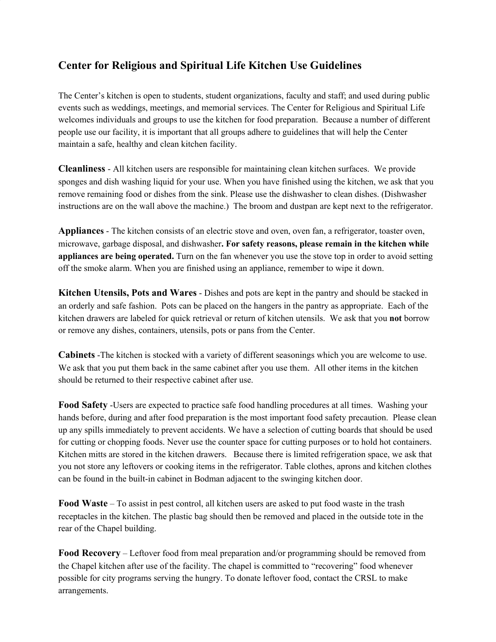## **Center for Religious and Spiritual Life Kitchen Use Guidelines**

The Center's kitchen is open to students, student organizations, faculty and staff; and used during public events such as weddings, meetings, and memorial services. The Center for Religious and Spiritual Life welcomes individuals and groups to use the kitchen for food preparation. Because a number of different people use our facility, it is important that all groups adhere to guidelines that will help the Center maintain a safe, healthy and clean kitchen facility.

**Cleanliness** - All kitchen users are responsible for maintaining clean kitchen surfaces. We provide sponges and dish washing liquid for your use. When you have finished using the kitchen, we ask that you remove remaining food or dishes from the sink. Please use the dishwasher to clean dishes. (Dishwasher instructions are on the wall above the machine.) The broom and dustpan are kept next to the refrigerator.

**Appliances** - The kitchen consists of an electric stove and oven, oven fan, a refrigerator, toaster oven, microwave, garbage disposal, and dishwasher**. For safety reasons, please remain in the kitchen while appliances are being operated.** Turn on the fan whenever you use the stove top in order to avoid setting off the smoke alarm. When you are finished using an appliance, remember to wipe it down.

**Kitchen Utensils, Pots and Wares** - Dishes and pots are kept in the pantry and should be stacked in an orderly and safe fashion. Pots can be placed on the hangers in the pantry as appropriate. Each of the kitchen drawers are labeled for quick retrieval or return of kitchen utensils. We ask that you **not** borrow or remove any dishes, containers, utensils, pots or pans from the Center.

**Cabinets** -The kitchen is stocked with a variety of different seasonings which you are welcome to use. We ask that you put them back in the same cabinet after you use them. All other items in the kitchen should be returned to their respective cabinet after use.

**Food Safety** -Users are expected to practice safe food handling procedures at all times. Washing your hands before, during and after food preparation is the most important food safety precaution. Please clean up any spills immediately to prevent accidents. We have a selection of cutting boards that should be used for cutting or chopping foods. Never use the counter space for cutting purposes or to hold hot containers. Kitchen mitts are stored in the kitchen drawers. Because there is limited refrigeration space, we ask that you not store any leftovers or cooking items in the refrigerator. Table clothes, aprons and kitchen clothes can be found in the built-in cabinet in Bodman adjacent to the swinging kitchen door.

**Food Waste** – To assist in pest control, all kitchen users are asked to put food waste in the trash receptacles in the kitchen. The plastic bag should then be removed and placed in the outside tote in the rear of the Chapel building.

**Food Recovery** – Leftover food from meal preparation and/or programming should be removed from the Chapel kitchen after use of the facility. The chapel is committed to "recovering" food whenever possible for city programs serving the hungry. To donate leftover food, contact the CRSL to make arrangements.